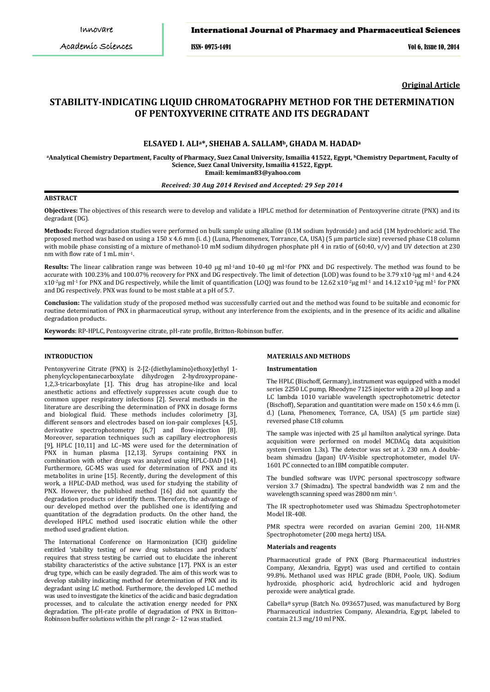ISSN- 0975-1491 Vol 6, Issue 10, 2014

**Original Article**

# **STABILITY-INDICATING LIQUID CHROMATOGRAPHY METHOD FOR THE DETERMINATION OF PENTOXYVERINE CITRATE AND ITS DEGRADANT**

## **ELSAYED I. ALIa\*[, SHEHAB A. SALLAMb](http://link.springer.com/search?facet-author=%22Shehab+A.+Sallam%22), GHADA M. HADADa**

**aAnalytical Chemistry Department, Faculty of Pharmacy, Suez Canal University, Ismailia 41522, Egypt, bChemistry Department, Faculty of Science, Suez Canal University, Ismailia 41522, Egypt. Email: kemiman83@yahoo.com**

## *Received: 30 Aug 2014 Revised and Accepted: 29 Sep 2014*

#### **ABSTRACT**

**Objectives:** The objectives of this research were to develop and validate a HPLC method for determination of Pentoxyverine citrate (PNX) and its degradant (DG).

**Methods:** Forced degradation studies were performed on bulk sample using alkaline (0.1M sodium hydroxide) and acid (1M hydrochloric acid. The proposed method was based on using a 150 x 4.6 mm (i. d.) (Luna, Phenomenex, Torrance, CA, USA) (5 µm particle size) reversed phase C18 column with mobile phase consisting of a mixture of methanol-10 mM sodium dihydrogen phosphate pH 4 in ratio of (60:40, v/v) and UV detection at 230 nm with flow rate of 1 mL min-1.

Results: The linear calibration range was between 10-40 µg ml<sup>-1</sup>and 10-40 µg ml<sup>-1</sup>for PNX and DG respectively. The method was found to be accurate with 100.23% and 100.07% recovery for PNX and DG respectively. The limit of detection (LOD) was found to be 3.79 x10<sup>-2</sup>µg ml<sup>-1</sup> and 4.24 x10-2μg ml-1 for PNX and DG respectively, while the limit of quantification (LOQ) was found to be 12.62 x10-2μg ml-1 and 14.12 x10-2μg ml-1 for PNX and DG respectively. PNX was found to be most stable at a pH of 5.7.

**Conclusion:** The validation study of the proposed method was successfully carried out and the method was found to be suitable and economic for routine determination of PNX in pharmaceutical syrup, without any interference from the excipients, and in the presence of its acidic and alkaline degradation products.

**Keywords**: RP-HPLC, Pentoxyverine citrate, pH-rate profile, Britton-Robinson buffer.

### **INTRODUCTION**

Pentoxyverine Citrate (PNX) is 2-[2-(diethylamino)ethoxy]ethyl 1 phenylcyclopentanecarboxylate dihydrogen 2-hydroxypropane-1,2,3-tricarboxylate [1]. This drug has atropine-like and local anesthetic actions and effectively suppresses acute cough due to common upper respiratory infections [2]. Several methods in the literature are describing the determination of PNX in dosage forms and biological fluid. These methods includes colorimetry [3], different sensors and electrodes based on ion-pair complexes [4,5], derivative spectrophotometry [6,7] and flow-injection [8]. Moreover, separation techniques such as capillary electrophoresis [9], HPLC [10,11] and LC–MS were used for the determination of PNX in human plasma [12,13]. Syrups containing PNX in combination with other drugs was analyzed using HPLC-DAD [14]. Furthermore, GC-MS was used for determination of PNX and its metabolites in urine [15]. Recently, during the development of this work, a HPLC-DAD method, was used for studying the stability of PNX. However, the published method [16] did not quantify the degradation products or identify them. Therefore, the advantage of our developed method over the published one is identifying and quantitation of the degradation products. On the other hand, the developed HPLC method used isocratic elution while the other method used gradient elution.

The International Conference on Harmonization (ICH) guideline entitled 'stability testing of new drug substances and products' requires that stress testing be carried out to elucidate the inherent stability characteristics of the active substance [17]. PNX is an ester drug type, which can be easily degraded. The aim of this work was to develop stability indicating method for determination of PNX and its degradant using LC method. Furthermore, the developed LC method was used to investigate the kinetics of the acidic and basic degradation processes, and to calculate the activation energy needed for PNX degradation. The pH-rate profile of degradation of PNX in Britton– Robinson buffer solutions within the pH range 2– 12 was studied.

## **MATERIALS AND METHODS**

#### **Instrumentation**

The HPLC (Bischoff, Germany), instrument was equipped with a model series 2250 LC pump, Rheodyne 7125 injector with a 20 µl loop and a LC lambda 1010 variable wavelength spectrophotometric detector (Bischoff), Separation and quantitation were made on 150 x 4.6 mm (i. d.) (Luna, Phenomenex, Torrance, CA, USA) (5 µm particle size) reversed phase C18 column.

The sample was injected with 25 µl hamilton analytical syringe. Data acquisition were performed on model MCDACq data acquisition system (version 1.3x). The detector was set at  $\lambda$  230 nm. A doublebeam shimadzu (Japan) UV-Visible spectrophotometer, model UV-1601 PC connected to an IBM compatible computer.

The bundled software was UVPC personal spectroscopy software version 3.7 (Shimadzu). The spectral bandwidth was 2 nm and the wavelength scanning speed was 2800 nm min-1.

The IR spectrophotometer used was Shimadzu Spectrophotometer Model IR-408.

PMR spectra were recorded on avarian Gemini 200, 1H-NMR Spectrophotometer (200 mega hertz) USA.

## **Materials and reagents**

Pharmaceutical grade of PNX (Borg Pharmaceutical industries Company, Alexandria, Egypt) was used and certified to contain 99.8%. Methanol used was HPLC grade (BDH, Poole, UK). Sodium hydroxide, phosphoric acid, hydrochloric acid and hydrogen peroxide were analytical grade.

Cabella® syrup (Batch No. 093657)used, was manufactured by Borg Pharmaceutical industries Company, Alexandria, Egypt, labeled to contain 21.3 mg/10 ml PNX.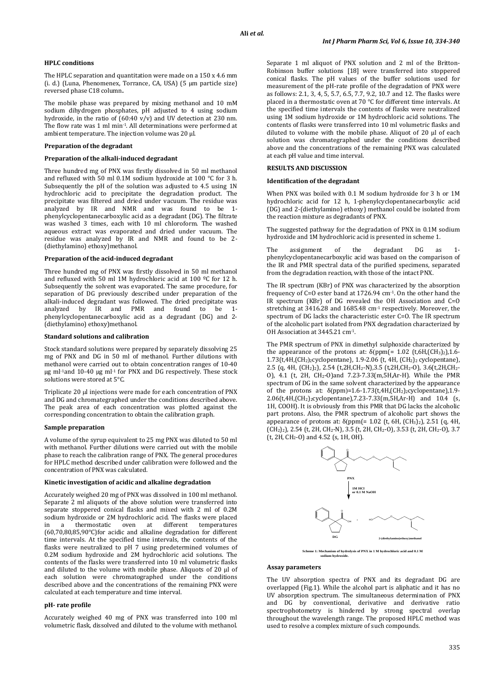## **HPLC conditions**

The HPLC separation and quantitation were made on a 150 x 4.6 mm (i. d.) (Luna, Phenomenex, Torrance, CA, USA) (5 µm particle size) reversed phase C18 column**.**

The mobile phase was prepared by mixing methanol and 10 mM sodium dihydrogen phosphates, pH adjusted to 4 using sodium hydroxide, in the ratio of (60:40 v/v) and UV detection at 230 nm. The flow rate was 1 ml min-1. All determinations were performed at ambient temperature. The injection volume was 20 μl.

#### **Preparation of the degradant**

#### **Preparation of the alkali-induced degradant**

Three hundred mg of PNX was firstly dissolved in 50 ml methanol and refluxed with 50 ml 0.1M sodium hydroxide at 100 °C for 3 h. Subsequently the pH of the solution was adjusted to 4.5 using 1N hydrochloric acid to precipitate the degradation product. The precipitate was filtered and dried under vacuum. The residue was analyzed by IR and NMR and was found to be 1 phenylcyclopentanecarboxylic acid as a degradant (DG). The filtrate was washed 3 times, each with 10 ml chloroform. The washed aqueous extract was evaporated and dried under vacuum. The residue was analyzed by IR and NMR and found to be 2- (diethylamino) ethoxy)methanol.

## **Preparation of the acid-induced degradant**

Three hundred mg of PNX was firstly dissolved in 50 ml methanol and refluxed with 50 ml 1M hydrochloric acid at 100 ºC for 12 h. Subsequently the solvent was evaporated. The same procedure, for separation of DG previously described under preparation of the alkali-induced degradant was followed. The dried precipitate was analyzed by IR and PMR and found to be 1 phenylcyclopentanecarboxylic acid as a degradant (DG) and 2- (diethylamino) ethoxy)methanol.

#### **Standard solutions and calibration**

Stock standard solutions were prepared by separately dissolving 25 mg of PNX and DG in 50 ml of methanol. Further dilutions with methanol were carried out to obtain concentration ranges of 10-40 µg ml-1and 10-40 µg ml-1 for PNX and DG respectively. These stock solutions were stored at 5°C.

Triplicate 20 µl injections were made for each concentration of PNX and DG and chromategraphed under the conditions described above. The peak area of each concentration was plotted against the corresponding concentration to obtain the calibration graph.

#### **Sample preparation**

A volume of the syrup equivalent to 25 mg PNX was diluted to 50 ml with methanol. Further dilutions were carried out with the mobile phase to reach the calibration range of PNX. The general procedures for HPLC method described under calibration were followed and the concentration of PNX was calculated.

### **Kinetic investigation of acidic and alkaline degradation**

Accurately weighed 20 mg of PNX was dissolved in 100 ml methanol. Separate 2 ml aliquots of the above solution were transferred into separate stoppered conical flasks and mixed with 2 ml of 0.2M sodium hydroxide or 2M hydrochloric acid. The flasks were placed<br>in a thermostatic oven at different temperatures oven at different temperatures (60,70,80,85,90°C)for acidic and alkaline degradation for different time intervals. At the specified time intervals, the contents of the flasks were neutralized to pH 7 using predetermined volumes of 0.2M sodium hydroxide and 2M hydrochloric acid solutions. The contents of the flasks were transferred into 10 ml volumetric flasks and diluted to the volume with mobile phase. Aliquots of 20 μl of each solution were chromatographed under the conditions described above and the concentrations of the remaining PNX were calculated at each temperature and time interval.

#### **pH- rate profile**

Accurately weighed 40 mg of PNX was transferred into 100 ml volumetric flask, dissolved and diluted to the volume with methanol.

Separate 1 ml aliquot of PNX solution and 2 ml of the Britton-Robinson buffer solutions [18] were transferred into stoppered conical flasks. The pH values of the buffer solutions used for measurement of the pH-rate profile of the degradation of PNX were as follows: 2.1, 3, 4, 5, 5.7, 6.5, 7.7, 9.2, 10.7 and 12. The flasks were placed in a thermostatic oven at 70 °C for different time intervals. At the specified time intervals the contents of flasks were neutralized using 1M sodium hydroxide or 1M hydrochloric acid solutions. The contents of flasks were transferred into 10 ml volumetric flasks and diluted to volume with the mobile phase. Aliquot of 20 µl of each solution was chromategraphed under the conditions described above and the concentrations of the remaining PNX was calculated at each pH value and time interval.

## **RESULTS AND DISCUSSION**

#### **Identification of the degradant**

When PNX was boiled with 0.1 M sodium hydroxide for 3 h or 1M hydrochloric acid for 12 h, 1-phenylcyclopentanecarboxylic acid (DG) and 2-(diethylamino) ethoxy) methanol could be isolated from the reaction mixture as degradants of PNX.

The suggested pathway for the degradation of PNX in 0.1M sodium hydroxide and 1M hydrochloric acid is presented in scheme 1.

The assignment of the degradant DG as 1 phenylcyclopentanecarboxylic acid was based on the comparison of the IR and PMR spectral data of the purified specimens, separated from the degradation reaction, with those of the intact PNX.

The IR spectrum (KBr) of PNX was characterized by the absorption frequency of C=O ester band at 1726.94 cm-1. On the other hand the IR spectrum (KBr) of DG revealed the OH Association and C=O stretching at 3416.28 and 1685.48 cm-1 respectively. Moreover, the spectrum of DG lacks the characteristic ester C=O. The IR spectrum of the alcoholic part isolated from PNX degradation characterized by OH Association at 3445.21 cm-1.

The PMR spectrum of PNX in dimethyl sulphoxide characterized by the appearance of the protons at:  $\delta$ (ppm(= 1.02 (t,6H,(CH<sub>3</sub>)<sub>2</sub>),1.6-1.73(t,4H,(CH<sub>2)2</sub>cyclopentane), 1.9-2.06 (t, 4H, (CH<sub>2</sub>)<sub>2</sub> cyclopentane), 2.5 (q, 4H, (CH2)2), 2.54 (t,2H,CH2-N),3.5 (t,2H,CH2-O), 3.6(t,2H,CH2- O), 4.1 (t, 2H, CH2-O)and 7.23-7.33(m,5H,Ar-H). While the PMR spectrum of DG in the same solvent characterized by the appearance of the protons at: δ(ppm)=1.6-1.73(t,4H,(CH2)2cyclopentane),1.9- 2.06(t,4H,(CH2)2cyclopentane),7.23-7.33(m,5H,Ar-H) and 10.4 (s, 1H, COOH). It is obviously from this PMR that DG lacks the alcoholic part protons. Also, the PMR spectrum of alcoholic part shows the appearance of protons at: δ(ppm(= 1.02 (t, 6H, (CH3)2), 2.51 (q, 4H,  $(\tilde{CH}_2)_2$ , 2.54 (t, 2H, CH<sub>2</sub>-N), 3.5 (t, 2H, CH<sub>2</sub>-O), 3.53 (t, 2H, CH<sub>2</sub>-O), 3.7 (t, 2H, CH2-O) and 4.52 (s, 1H, OH).



**Scheme 1: Mechanism of hydrolysis of PNX in 1 M hydrochloric acid and 0.1 M sodium hydroxide.**

#### **Assay parameters**

The UV absorption spectra of PNX and its degradant DG are overlapped (Fig.1). While the alcohol part is aliphatic and it has no UV absorption spectrum. The simultaneous determination of PNX and DG by conventional, derivative and derivative ratio spectrophotometry is hindered by strong spectral overlap throughout the wavelength range. The proposed HPLC method was used to resolve a complex mixture of such compounds.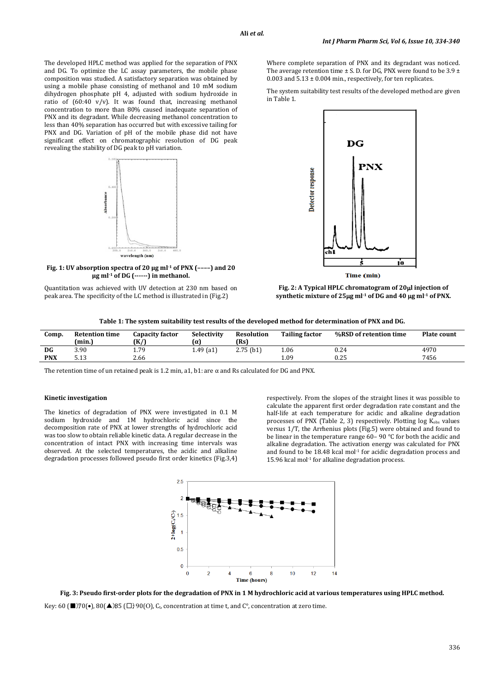The developed HPLC method was applied for the separation of PNX and DG. To optimize the LC assay parameters, the mobile phase composition was studied. A satisfactory separation was obtained by using a mobile phase consisting of methanol and 10 mM sodium dihydrogen phosphate pH 4, adjusted with sodium hydroxide in ratio of  $(60:40 \text{ v/v})$ . It was found that, increasing methanol concentration to more than 80% caused inadequate separation of PNX and its degradant. While decreasing methanol concentration to less than 40% separation has occurred but with excessive tailing for PNX and DG. Variation of pH of the mobile phase did not have significant effect on chromatographic resolution of DG peak revealing the stability of DG peak to pH variation.



**Fig. 1: UV absorption spectra of 20 μg ml-1 of PNX (––––) and 20 μg ml-1 of DG (------) in methanol.**

Where complete separation of PNX and its degradant was noticed. The average retention time  $\pm$  S. D. for DG, PNX were found to be 3.9  $\pm$ 0.003 and  $5.13 \pm 0.004$  min., respectively, for ten replicates.

The system suitability test results of the developed method are given in Table 1.



**Fig. 2: A Typical HPLC chromatogram of 20**µ**l injection of synthetic mixture of 25**µ**g ml-1 of DG and 40** µ**g ml-1 of PNX.**

|  |  |  | Table 1: The system suitability test results of the developed method for determination of PNX and DG. |
|--|--|--|-------------------------------------------------------------------------------------------------------|
|  |  |  |                                                                                                       |

| Comp.      | <b>Retention time</b><br>(min.) | Capacity factor<br>(K/) | Selectivity<br>lα | <b>Resolution</b><br>(Rs) | <b>Tailing factor</b> | %RSD of retention time | <b>Plate count</b> |
|------------|---------------------------------|-------------------------|-------------------|---------------------------|-----------------------|------------------------|--------------------|
| DG         | 3.90                            | 1.79                    | $1.49$ (a1)       | 2.75(b1)                  | 1.06                  | 0.24                   | 4970               |
| <b>PNX</b> | - 19<br>ว. 1 ว                  | 2.66                    |                   |                           | 0.01                  | 0.25                   | 7456               |

The retention time of un retained peak is 1.2 min, a1, b1: are α and Rs calculated for DG and PNX.

#### **Kinetic investigation**

The kinetics of degradation of PNX were investigated in 0.1 M sodium hydroxide and 1M hydrochloric acid since the decomposition rate of PNX at lower strengths of hydrochloric acid was too slow to obtain reliable kinetic data. A regular decrease in the concentration of intact PNX with increasing time intervals was observed. At the selected temperatures, the acidic and alkaline degradation processes followed pseudo first order kinetics (Fig.3,4)

respectively. From the slopes of the straight lines it was possible to calculate the apparent first order degradation rate constant and the half-life at each temperature for acidic and alkaline degradation processes of PNX (Table 2, 3) respectively. Plotting  $log K<sub>obs</sub>$  values versus 1/T, the Arrhenius plots (Fig.5) were obtained and found to be linear in the temperature range 60– 90 °C for both the acidic and alkaline degradation. The activation energy was calculated for PNX and found to be  $18.48$  kcal mol<sup>-1</sup> for acidic degradation process and  $15.96$  kcal mol $1$  for alkaline degradation process.



**Fig. 3: Pseudo first-order plots for the degradation of PNX in 1 M hydrochloric acid at various temperatures using HPLC method.**

Key: 60 ( $\blacksquare$ )70(•), 80( $\blacktriangle$ )85 ( $\square$ ) 90(O), C<sub>t</sub>, concentration at time t, and C<sup>o</sup>, concentration at zero time.

Quantitation was achieved with UV detection at 230 nm based on peak area. The specificity of the LC method is illustrated in (Fig.2)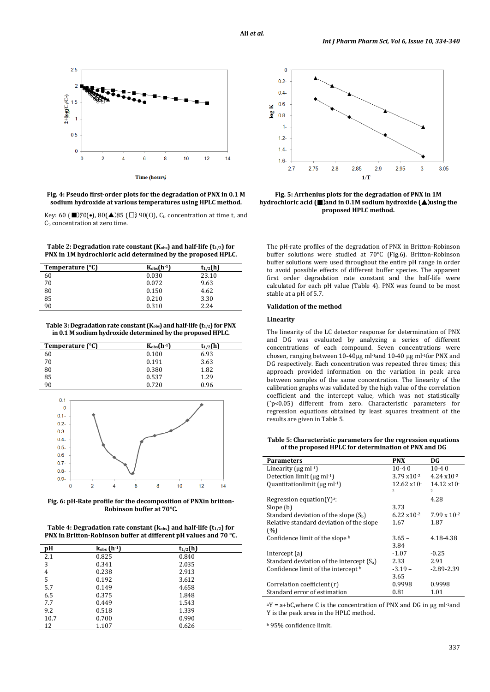

**Fig. 4: Pseudo first-order plots for the degradation of PNX in 0.1 M sodium hydroxide at various temperatures using HPLC method.**

Key: 60 (■)70(•), 80(▲)85 (□); 90(O), C<sub>t</sub>, concentration at time t, and C°, concentration at zero time.

Table 2: Degradation rate constant (K<sub>obs</sub>) and half-life (t<sub>1/2</sub>) for **PNX in 1M hydrochloric acid determined by the proposed HPLC.**

| Temperature (°C) | $K_{obs}(h^{-1})$ | $t_{1/2}$ (h) |
|------------------|-------------------|---------------|
| 60               | 0.030             | 23.10         |
| 70               | 0.072             | 9.63          |
| 80               | 0.150             | 4.62          |
| 85               | 0.210             | 3.30          |
| 90               | 0.310             | 2.24          |

Table 3: Degradation rate constant (K<sub>obs</sub>) and half-life (t<sub>1/2</sub>) for PNX **in 0.1 M sodium hydroxide determined by the proposed HPLC.**

| Temperature (°C)                        | $K_{obs}(h^{-1})$ | $t_{1/2}$ (h) |  |
|-----------------------------------------|-------------------|---------------|--|
| 60                                      | 0.100             | 6.93          |  |
| 70                                      | 0.191             | 3.63          |  |
| $\begin{array}{c} 80 \\ 85 \end{array}$ | 0.380             | 1.82          |  |
|                                         | 0.537             | 1.29          |  |
| 90                                      | 0.720             | 0.96          |  |
|                                         |                   |               |  |



**Fig. 6: pH-Rate profile for the decomposition of PNXin britton-Robinson buffer at 70°C.**

Table 4: Degradation rate constant (k<sub>obs</sub>) and half-life (t<sub>1/2</sub>) for **PNX in Britton-Robinson buffer at different pH values and 70 °C.**

| pН   | $k_{obs}$ (h-1) | $t_{1/2}$ (h) |  |
|------|-----------------|---------------|--|
| 2.1  | 0.825           | 0.840         |  |
| 3    | 0.341           | 2.035         |  |
| 4    | 0.238           | 2.913         |  |
| 5    | 0.192           | 3.612         |  |
| 5.7  | 0.149           | 4.658         |  |
| 6.5  | 0.375           | 1.848         |  |
| 7.7  | 0.449           | 1.543         |  |
| 9.2  | 0.518           | 1.339         |  |
| 10.7 | 0.700           | 0.990         |  |
| 12   | 1.107           | 0.626         |  |



**Fig. 5: Arrhenius plots for the degradation of PNX in 1M hydrochloric acid (**■)**and in 0.1M sodium hydroxide (**▲)**using the proposed HPLC method.**

The pH-rate profiles of the degradation of PNX in Britton-Robinson buffer solutions were studied at 70°C (Fig.6). Britton-Robinson buffer solutions were used throughout the entire pH range in order to avoid possible effects of different buffer species. The apparent first order degradation rate constant and the half-life were calculated for each pH value (Table 4). PNX was found to be most stable at a pH of 5.7.

### **Validation of the method**

#### **Linearity**

The linearity of the LC detector response for determination of PNX and DG was evaluated by analyzing a series of different concentrations of each compound. Seven concentrations were chosen, ranging between 10-40µg ml-1and 10-40 µg ml-1for PNX and DG respectively. Each concentration was repeated three times; this approach provided information on the variation in peak area between samples of the same concentration. The linearity of the calibration graphs was validated by the high value of the correlation coefficient and the intercept value, which was not statistically (\*p<0.05) different from zero. Characteristic parameters for regression equations obtained by least squares treatment of the results are given in Table 5.

**Table 5: Characteristic parameters for the regression equations of the proposed HPLC for determination of PNX and DG**

| <b>Parameters</b>                           | <b>PNX</b>              | DG                     |
|---------------------------------------------|-------------------------|------------------------|
|                                             |                         |                        |
| Linearity ( $\mu$ g ml· <sup>1</sup> )      | $10 - 40$               | $10-40$                |
| Detection limit ( $\mu$ g ml $-1$ )         | $3.79 \times 10^{-2}$   | $4.24 \times 10^{-2}$  |
| Quantitationlimit (ug ml-1)                 | $12.62 \times 10^{-7}$  | $14.12 \times 10^{-7}$ |
|                                             | $\overline{\mathbf{z}}$ | $\overline{c}$         |
| Regression equation $(Y)^a$ :               |                         | 4.28                   |
| Slope (b)                                   | 3.73                    |                        |
| Standard deviation of the slope $(S_b)$     | $6.22 \times 10^{-2}$   | $7.99 \times 10^{-2}$  |
| Relative standard deviation of the slope    | 1.67                    | 1.87                   |
| (%)                                         |                         |                        |
| Confidence limit of the slope b             | $3.65 -$                | 4.18-4.38              |
|                                             | 3.84                    |                        |
| Intercept $(a)$                             | $-1.07$                 | $-0.25$                |
| Standard deviation of the intercept $(S_a)$ | 2.33                    | 2.91                   |
| Confidence limit of the intercept b         | $-3.19-$                | $-2.89 - 2.39$         |
|                                             | 3.65                    |                        |
| Correlation coefficient (r)                 | 0.9998                  | 0.9998                 |
| Standard error of estimation                | 0.81                    | 1.01                   |

 $aY = a + bC$ , where C is the concentration of PNX and DG in  $\mu$ g ml<sup>-1</sup>and Y is the peak area in the HPLC method.

<sup>b</sup> 95% confidence limit.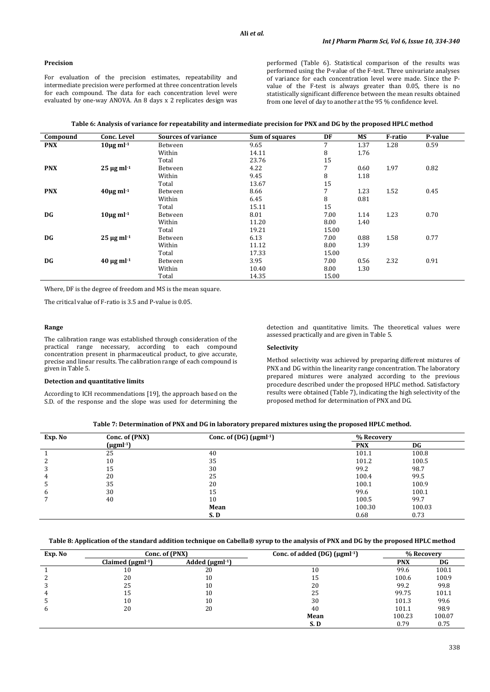## **Precision**

For evaluation of the precision estimates, repeatability and intermediate precision were performed at three concentration levels for each compound. The data for each concentration level were evaluated by one-way ANOVA. An 8 days x 2 replicates design was performed (Table 6). Statistical comparison of the results was performed using the P-value of the F-test. Three univariate analyses of variance for each concentration level were made. Since the Pvalue of the F-test is always greater than 0.05, there is no statistically significant difference between the mean results obtained from one level of day to another at the 95 % confidence level.

|  | Table 6: Analysis of variance for repeatability and intermediate precision for PNX and DG by the proposed HPLC method |
|--|-----------------------------------------------------------------------------------------------------------------------|
|  |                                                                                                                       |

| Compound   | Conc. Level                 | <b>Sources of variance</b> | Sum of squares | DF    | MS   | F-ratio | P-value |
|------------|-----------------------------|----------------------------|----------------|-------|------|---------|---------|
| <b>PNX</b> | $10\mu$ g ml <sup>-1</sup>  | Between                    | 9.65           | 7     | 1.37 | 1.28    | 0.59    |
|            |                             | Within                     | 14.11          | 8     | 1.76 |         |         |
|            |                             | Total                      | 23.76          | 15    |      |         |         |
| <b>PNX</b> | $25 \mu g$ ml <sup>-1</sup> | Between                    | 4.22           | 7     | 0.60 | 1.97    | 0.82    |
|            |                             | Within                     | 9.45           | 8     | 1.18 |         |         |
|            |                             | Total                      | 13.67          | 15    |      |         |         |
| <b>PNX</b> | $40\mu$ g ml <sup>-1</sup>  | Between                    | 8.66           | 7     | 1.23 | 1.52    | 0.45    |
|            |                             | Within                     | 6.45           | 8     | 0.81 |         |         |
|            |                             | Total                      | 15.11          | 15    |      |         |         |
| DG         | $10\mu$ g ml <sup>-1</sup>  | Between                    | 8.01           | 7.00  | 1.14 | 1.23    | 0.70    |
|            |                             | Within                     | 11.20          | 8.00  | 1.40 |         |         |
|            |                             | Total                      | 19.21          | 15.00 |      |         |         |
| DG         | $25 \mu g$ ml <sup>-1</sup> | Between                    | 6.13           | 7.00  | 0.88 | 1.58    | 0.77    |
|            |                             | Within                     | 11.12          | 8.00  | 1.39 |         |         |
|            |                             | Total                      | 17.33          | 15.00 |      |         |         |
| DG         | $40 \mu g$ ml <sup>-1</sup> | Between                    | 3.95           | 7.00  | 0.56 | 2.32    | 0.91    |
|            |                             | Within                     | 10.40          | 8.00  | 1.30 |         |         |
|            |                             | Total                      | 14.35          | 15.00 |      |         |         |

Where, DF is the degree of freedom and MS is the mean square.

The critical value of F-ratio is 3.5 and P-value is 0.05.

### **Range**

The calibration range was established through consideration of the practical range necessary, according to each compound concentration present in pharmaceutical product, to give accurate, precise and linear results. The calibration range of each compound is given in Table 5.

## **Detection and quantitative limits**

According to ICH recommendations [19], the approach based on the S.D. of the response and the slope was used for determining the

detection and quantitative limits. The theoretical values were assessed practically and are given in Table 5.

## **Selectivity**

Method selectivity was achieved by preparing different mixtures of PNX and DG within the linearity range concentration. The laboratory prepared mixtures were analyzed according to the previous procedure described under the proposed HPLC method. Satisfactory results were obtained (Table 7), indicating the high selectivity of the proposed method for determination of PNX and DG.

| Table 7: Determination of PNX and DG in laboratory prepared mixtures using the proposed HPLC method. |  |  |
|------------------------------------------------------------------------------------------------------|--|--|
|------------------------------------------------------------------------------------------------------|--|--|

| Exp. No | Conc. of (PNX)   | Conc. of $(DG)$ ( $\mu$ gml <sup>-1</sup> ) | % Recovery |        |
|---------|------------------|---------------------------------------------|------------|--------|
|         | $(\mu gml^{-1})$ |                                             | <b>PNX</b> | DG     |
|         | 25               | 40                                          | 101.1      | 100.8  |
|         | 10               | 35                                          | 101.2      | 100.5  |
|         | 15               | 30                                          | 99.2       | 98.7   |
| 4       | 20               | 25                                          | 100.4      | 99.5   |
|         | 35               | 20                                          | 100.1      | 100.9  |
| h       | 30               | 15                                          | 99.6       | 100.1  |
|         | 40               | 10                                          | 100.5      | 99.7   |
|         |                  | Mean                                        | 100.30     | 100.03 |
|         |                  | S.D                                         | 0.68       | 0.73   |

#### **Table 8: Application of the standard addition technique on Cabella® syrup to the analysis of PNX and DG by the proposed HPLC method**

| Exp. No | Conc. of (PNX)           |                                   | Conc. of added $(DG)$ ( $\mu$ gml <sup>-1</sup> ) |            | % Recovery |
|---------|--------------------------|-----------------------------------|---------------------------------------------------|------------|------------|
|         | Claimed $(\mu gml^{-1})$ | Added ( $\mu$ gml <sup>-1</sup> ) |                                                   | <b>PNX</b> | DG         |
|         | 10                       | 20                                | 10                                                | 99.6       | 100.1      |
|         | 20                       | 10                                | 15                                                | 100.6      | 100.9      |
| 3       | 25                       | 10                                | 20                                                | 99.2       | 99.8       |
| 4       | 15                       | 10                                | 25                                                | 99.75      | 101.1      |
| b.      | 10                       | 10                                | 30                                                | 101.3      | 99.6       |
| b       | 20                       | 20                                | 40                                                | 101.1      | 98.9       |
|         |                          |                                   | Mean                                              | 100.23     | 100.07     |
|         |                          |                                   | S.D                                               | 0.79       | 0.75       |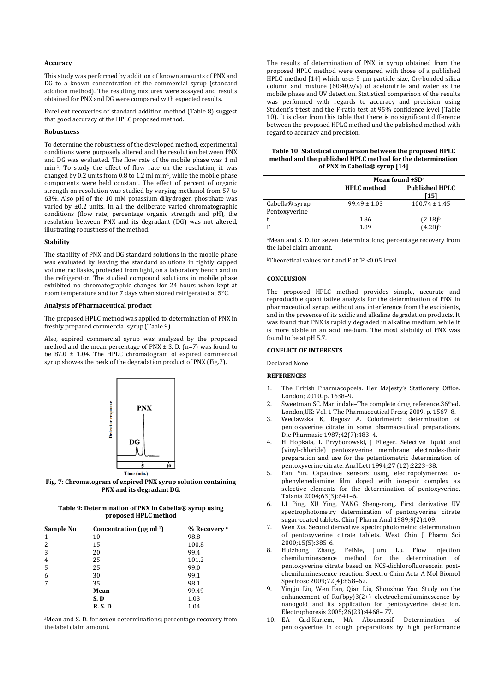#### **Accuracy**

This study was performed by addition of known amounts of PNX and DG to a known concentration of the commercial syrup (standard addition method). The resulting mixtures were assayed and results obtained for PNX and DG were compared with expected results.

Excellent recoveries of standard addition method (Table 8) suggest that good accuracy of the HPLC proposed method.

## **Robustness**

To determine the robustness of the developed method, experimental conditions were purposely altered and the resolution between PNX and DG was evaluated. The flow rate of the mobile phase was 1 ml min-1. To study the effect of flow rate on the resolution, it was changed by 0.2 units from 0.8 to 1.2 ml min-1, while the mobile phase components were held constant. The effect of percent of organic strength on resolution was studied by varying methanol from 57 to 63%. Also pH of the 10 mM potassium dihydrogen phosphate was varied by ±0.2 units. In all the deliberate varied chromatographic conditions (flow rate, percentage organic strength and pH), the resolution between PNX and its degradant (DG) was not altered, illustrating robustness of the method.

#### **Stability**

The stability of PNX and DG standard solutions in the mobile phase was evaluated by leaving the standard solutions in tightly capped volumetric flasks, protected from light, on a laboratory bench and in the refrigerator. The studied compound solutions in mobile phase exhibited no chromatographic changes for 24 hours when kept at room temperature and for 7 days when stored refrigerated at 5°C.

#### **Analysis of Pharmaceutical product**

The proposed HPLC method was applied to determination of PNX in freshly prepared commercial syrup (Table 9).

Also, expired commercial syrup was analyzed by the proposed method and the mean percentage of PNX  $\pm$  S. D. (n=7) was found to be 87.0  $\pm$  1.04. The HPLC chromatogram of expired commercial syrup showes the peak of the degradation product of PNX (Fig.7).



**Fig. 7: Chromatogram of expired PNX syrup solution containing PNX and its degradant DG.**

**Table 9: Determination of PNX in Cabella® syrup using proposed HPLC method**

| Sample No | Concentration ( $\mu$ g ml· <sup>1</sup> ) | % Recovery a |
|-----------|--------------------------------------------|--------------|
| 1         | 10                                         | 98.8         |
| 2         | 15                                         | 100.8        |
| 3         | 20                                         | 99.4         |
| 4         | 25                                         | 101.2        |
| 5         | 25                                         | 99.0         |
| 6         | 30                                         | 99.1         |
| 7         | 35                                         | 98.1         |
|           | Mean                                       | 99.49        |
|           | S.D                                        | 1.03         |
|           | R. S. D                                    | 1.04         |

aMean and S. D. for seven determinations; percentage recovery from the label claim amount.

The results of determination of PNX in syrup obtained from the proposed HPLC method were compared with those of a published HPLC method [14] which uses 5  $\mu$ m particle size, C<sub>18</sub>-bonded silica column and mixture  $(60:40, v/v)$  of acetonitrile and water as the mobile phase and UV detection. Statistical comparison of the results was performed with regards to accuracy and precision using Student's t-test and the F-ratio test at 95% confidence level (Table 10). It is clear from this table that there is no significant difference between the proposed HPLC method and the published method with regard to accuracy and precision.

| Table 10: Statistical comparison between the proposed HPLC |
|------------------------------------------------------------|
| method and the published HPLC method for the determination |
| of PNX in Cabella® syrup [14]                              |

|                                 | Mean found $\pm SD^a$ |                               |  |
|---------------------------------|-----------------------|-------------------------------|--|
|                                 | <b>HPLC</b> method    | <b>Published HPLC</b><br>[15] |  |
| Cabella® syrup<br>Pentoxyverine | $99.49 \pm 1.03$      | $100.74 \pm 1.45$             |  |
|                                 | 1.86                  | $(2.18)^{b}$                  |  |
| E                               | 1.89                  | $(4.28)^b$                    |  |

aMean and S. D. for seven determinations; percentage recovery from the label claim amount.

bTheoretical values for t and F at \*P <0.05 level.

#### **CONCLUSION**

The proposed HPLC method provides simple, accurate and reproducible quantitative analysis for the determination of PNX in pharmaceutical syrup, without any interference from the excipients, and in the presence of its acidic and alkaline degradation products. It was found that PNX is rapidly degraded in alkaline medium, while it is more stable in an acid medium. The most stability of PNX was found to be at pH 5.7.

## **CONFLICT OF INTERESTS**

Declared None

## **REFERENCES**

- 1. The British Pharmacopoeia. Her Majesty's Stationery Office. London; 2010. p. 1638–9.
- 2. Sweetman SC. Martindale–The complete drug reference.36thed. London,UK: Vol. 1 The Pharmaceutical Press; 2009. p. 1567–8.
- 3. Weclawska K, Regosz A. Colorimetric determination of pentoxyverine citrate in some pharmaceutical preparations. Die Pharmazie 1987;42(7):483–4.
- 4. H Hopkala, L Przyborowski, J Flieger. Selective liquid and (vinyl-chloride) pentoxyverine membrane electrodes-their preparation and use for the potentiometric determination of pentoxyverine citrate. Anal Lett 1994;27 (12):2223–38.
- 5. [Fan Yin.](http://www.pubfacts.com/author/Fan+Yin) Capacitive sensors using electropolymerized ophenylenediamine film doped with ion-pair complex as selective elements for the determination of pentoxyverine. Talanta 2004;63(3):641–6.
- 6. LI Ping, XU Ying, YANG Sheng-rong. First derivative UV spectrophotometry determination of pentoxyverine citrate sugar-coated tablets*.* Chin J Pharm Anal 1989;9(2):109.
- 7. Wen Xia. Second derivative spectrophotometric determination of pentoxyverine citrate tablets. West Chin J Pharm Sci 2000;15(5):385-6.
- 8. Huizhong Zhang, FeiNie, Jiuru Lu. Flow injection chemiluminescence method for the determination of pentoxyverine citrate based on NCS-dichlorofluorescein postchemiluminescence reaction. Spectro Chim Acta A Mol Biomol Spectrosc 2009;72(4):858–62.
- Yingju Liu, Wen Pan, Qian Liu, Shouzhuo Yao. Study on the enhancement of Ru(bpy)3(2+) electrochemiluminescence by nanogold and its application for pentoxyverine detection. Electrophoresis 2005;26(23):4468– 77.
- 10. EA Gad-Kariem, MA Abounassif. Determination of pentoxyverine in cough preparations by high performance